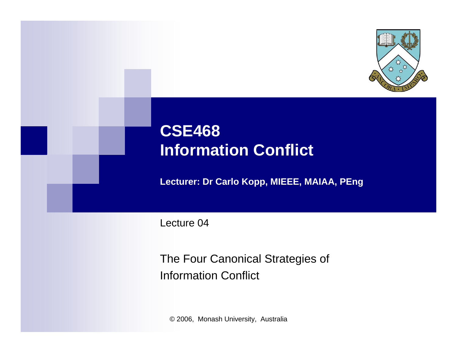

## **CSE468 Information Conflict**

**Lecturer: Dr Carlo Kopp, MIEEE, MAIAA, PEng**

Lecture 04

The Four Canonical Strategies of Information Conflict

© 2006, Monash University, Australia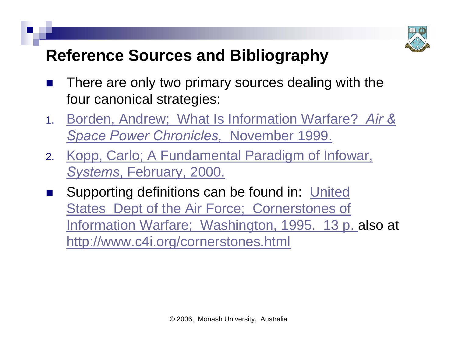

#### **Reference Sources and Bibliography**

- $\mathbb{R}^3$  There are only two primary sources dealing with the four canonical strategies:
- 1. Borden, Andrew; [What Is Information Warfare?](http://www.airpower.maxwell.af.mil/airchronicles/cc/borden.html) *Air & [Space Power Chronicles,](http://www.airpower.maxwell.af.mil/airchronicles/cc/borden.html)* November 1999.
- 2. [Kopp, Carlo; A Fundamental Paradigm of Infowar,](http://www.ausairpower.net/OSR-0200.html)  *Systems*, [February, 2000.](http://www.ausairpower.net/OSR-0200.html)
- $\mathbb{R}^3$  [Supporting definitions can be found in:](http://www.csse.monash.edu.au/courseware/cse468/cornerstones-iw.html) United States [Dept of the Air Force;](http://www.csse.monash.edu.au/courseware/cse468/cornerstones-iw.html) Cornerstones of [Information Warfare;](http://www.csse.monash.edu.au/courseware/cse468/cornerstones-iw.html) Washington, 1995. 13 p. also at <http://www.c4i.org/cornerstones.html>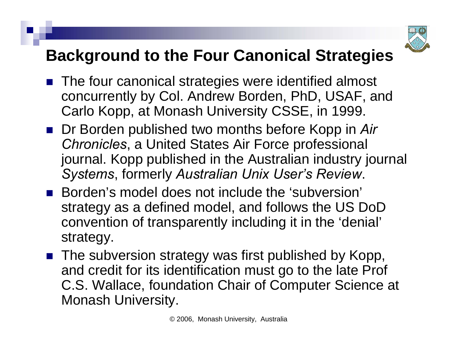

#### **Background to the Four Canonical Strategies**

- The four canonical strategies were identified almost concurrently by Col. Andrew Borden, PhD, USAF, and Carlo Kopp, at Monash University CSSE, in 1999.
- Dr Borden published two months before Kopp in Air *Chronicles*, a United States Air Force professional journal. Kopp published in the Australian industry journal *Systems*, formerly *Australian Unix User's Review*.
- Borden's model does not include the 'subversion' strategy as a defined model, and follows the US DoD convention of transparently including it in the 'denial' strategy.
- The subversion strategy was first published by Kopp, and credit for its identification must go to the late Prof C.S. Wallace, foundation Chair of Computer Science at Monash University.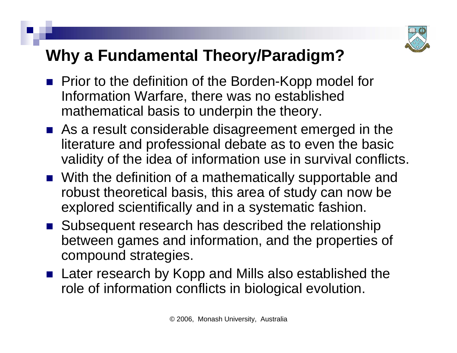

## **Why a Fundamental Theory/Paradigm?**

- **Prior to the definition of the Borden-Kopp model for** Information Warfare, there was no established mathematical basis to underpin the theory.
- As a result considerable disagreement emerged in the literature and professional debate as to even the basic validity of the idea of information use in survival conflicts.
- With the definition of a mathematically supportable and robust theoretical basis, this area of study can now be explored scientifically and in a systematic fashion.
- Subsequent research has described the relationship between games and information, and the properties of compound strategies.
- Later research by Kopp and Mills also established the role of information conflicts in biological evolution.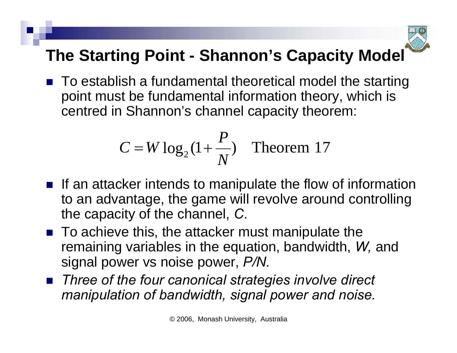

# **The Starting Point - Shannon's Capacity Model**

■ To establish a fundamental theoretical model the starting point must be fundamental information theory, which is centred in Shannon's channel capacity theorem:

$$
C = W \log_2(1 + \frac{P}{N})
$$
 Theorem 17

- $\blacksquare$  If an attacker intends to manipulate the flow of information to an advantage, the game will revolve around controlling the capacity of the channel, *C*.
- To achieve this, the attacker must manipulate the remaining variables in the equation, bandwidth, *W,* and signal power vs noise power, *P/N.*
- *Three of the four canonical strategies involve direct manipulation of bandwidth, signal power and noise.*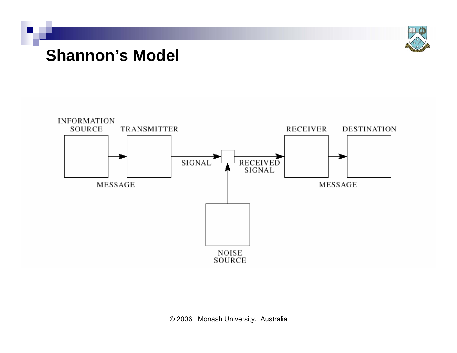

#### **Shannon's Model**



© 2006, Monash University, Australia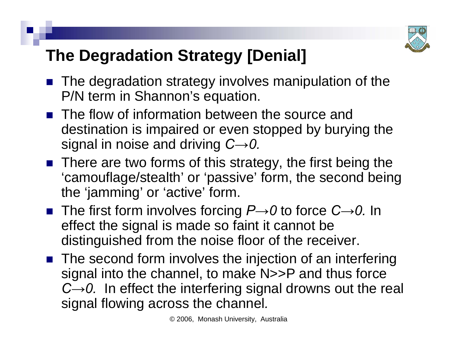

## **The Degradation Strategy [Denial]**

- The degradation strategy involves manipulation of the P/N term in Shannon's equation.
- **The flow of information between the source and** destination is impaired or even stopped by burying the signal in noise and driving *C→0.*
- There are two forms of this strategy, the first being the 'camouflage/stealth' or 'passive' form, the second being the 'jamming' or 'active' form.
- The first form involves forcing *P→0* to force *C→0.* In effect the signal is made so faint it cannot be distinguished from the noise floor of the receiver.
- The second form involves the injection of an interfering signal into the channel, to make N>>P and thus force *C→0.* In effect the interfering signal drowns out the real signal flowing across the channel*.*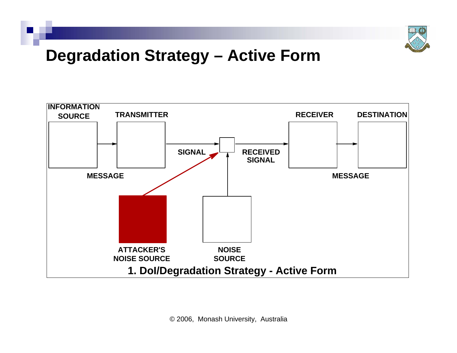

#### **Degradation Strategy – Active Form**

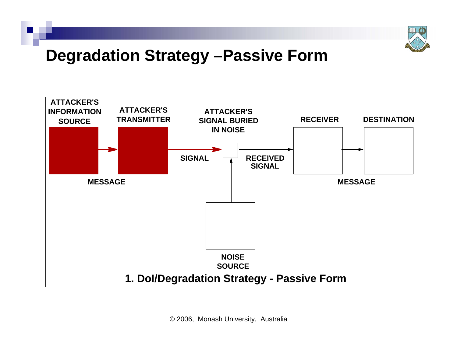

#### **Degradation Strategy –Passive Form**



© 2006, Monash University, Australia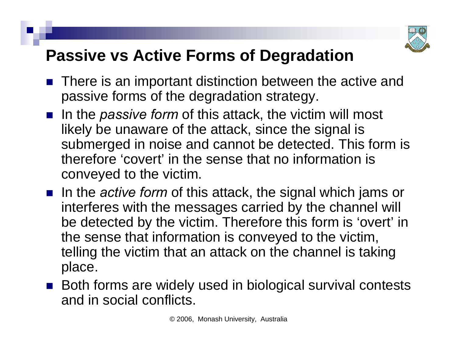

#### **Passive vs Active Forms of Degradation**

- $\mathbb{R}^3$  There is an important distinction between the active and passive forms of the degradation strategy.
- In the *passive form* of this attack, the victim will most likely be unaware of the attack, since the signal is submerged in noise and cannot be detected. This form is therefore 'covert' in the sense that no information is conveyed to the victim.
- In the *active form* of this attack, the signal which jams or interferes with the messages carried by the channel will be detected by the victim. Therefore this form is 'overt' in the sense that information is conveyed to the victim, telling the victim that an attack on the channel is taking place.
- Both forms are widely used in biological survival contests and in social conflicts.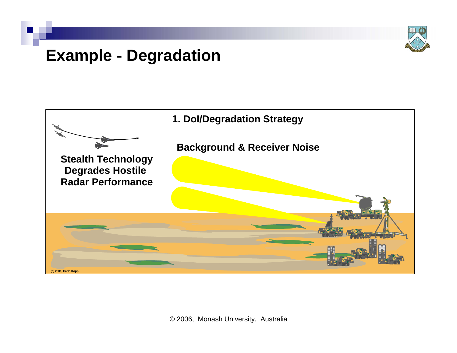

#### **Example - Degradation**

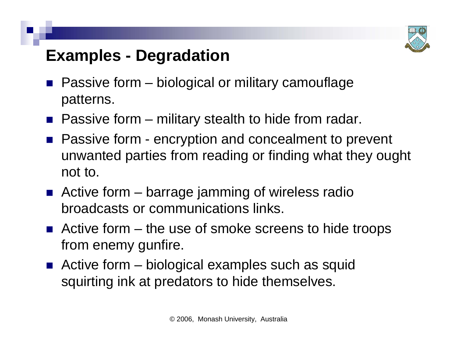

#### **Examples - Degradation**

- $\mathbb{R}^3$  Passive form – biological or military camouflage patterns.
- Passive form military stealth to hide from radar.
- Passive form encryption and concealment to prevent unwanted parties from reading or finding what they ought not to.
- Active form barrage jamming of wireless radio broadcasts or communications links.
- Active form the use of smoke screens to hide troops from enemy gunfire.
- Active form biological examples such as squid squirting ink at predators to hide themselves.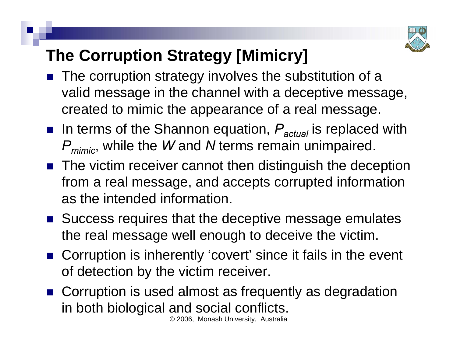

# **The Corruption Strategy [Mimicry]**

- The corruption strategy involves the substitution of a valid message in the channel with a deceptive message, created to mimic the appearance of a real message.
- In terms of the Shannon equation,  $P_{actual}$  is replaced with *Pmimic*, while the *W* and *N* terms remain unimpaired.
- The victim receiver cannot then distinguish the deception from a real message, and accepts corrupted information as the intended information.
- Success requires that the deceptive message emulates the real message well enough to deceive the victim.
- Corruption is inherently 'covert' since it fails in the event of detection by the victim receiver.
- © 2006, Monash University, Australia ■ Corruption is used almost as frequently as degradation in both biological and social conflicts.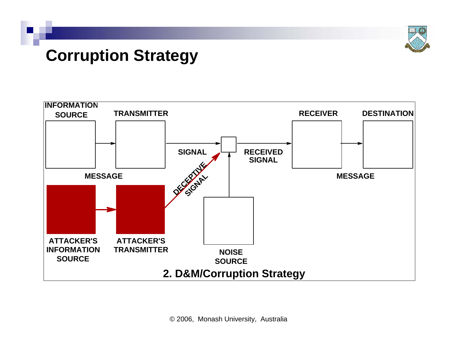

#### **Corruption Strategy**

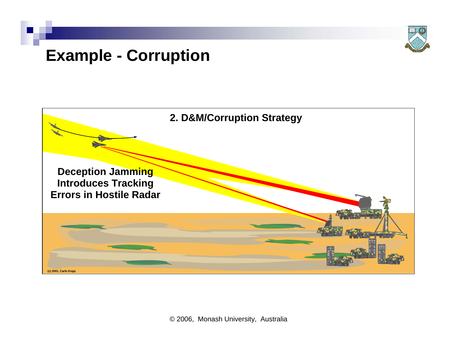

#### **Example - Corruption**

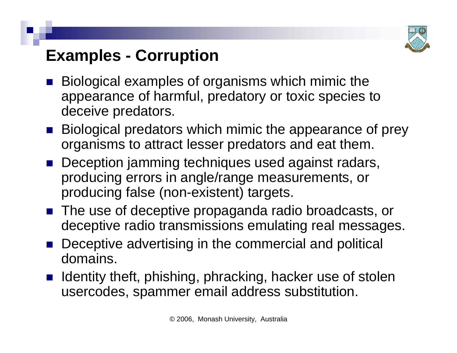

#### **Examples - Corruption**

- $\mathbb{R}^3$  Biological examples of organisms which mimic the appearance of harmful, predatory or toxic species to deceive predators.
- **Biological predators which mimic the appearance of prey** organisms to attract lesser predators and eat them.
- **Deception jamming techniques used against radars,** producing errors in angle/range measurements, or producing false (non-existent) targets.
- The use of deceptive propaganda radio broadcasts, or deceptive radio transmissions emulating real messages.
- Deceptive advertising in the commercial and political domains.
- Identity theft, phishing, phracking, hacker use of stolen usercodes, spammer email address substitution.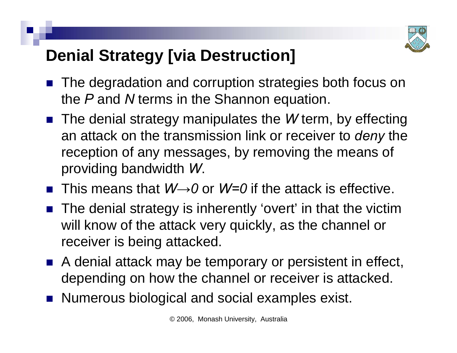

## **Denial Strategy [via Destruction]**

- $\mathbb{R}^3$  The degradation and corruption strategies both focus on the *P* and *N* terms in the Shannon equation.
- The denial strategy manipulates the *W* term, by effecting an attack on the transmission link or receiver to *deny* the reception of any messages, by removing the means of providing bandwidth *W*.
- This means that *W→0* or *W=0* if the attack is effective.
- The denial strategy is inherently 'overt' in that the victim will know of the attack very quickly, as the channel or receiver is being attacked.
- A denial attack may be temporary or persistent in effect, depending on how the channel or receiver is attacked.
- Numerous biological and social examples exist.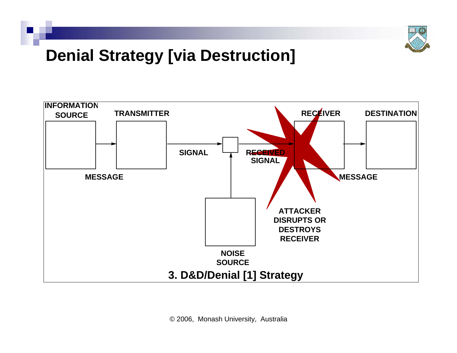

#### **Denial Strategy [via Destruction]**

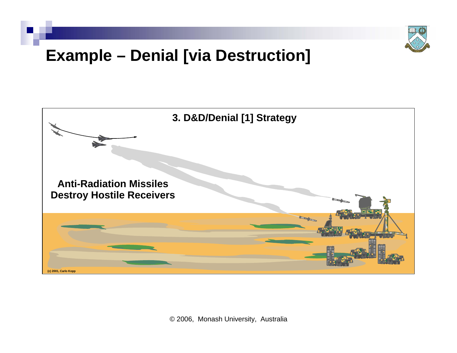

#### **Example – Denial [via Destruction]**



© 2006, Monash University, Australia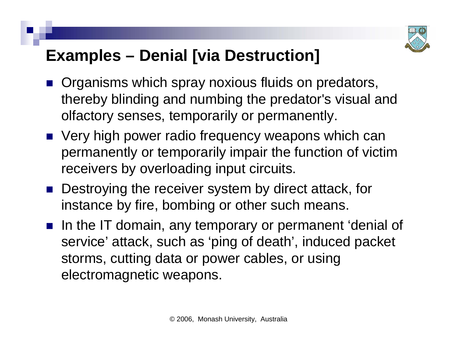

#### **Examples – Denial [via Destruction]**

- **Organisms which spray noxious fluids on predators,** thereby blinding and numbing the predator's visual and olfactory senses, temporarily or permanently.
- Very high power radio frequency weapons which can permanently or temporarily impair the function of victim receivers by overloading input circuits.
- Destroying the receiver system by direct attack, for instance by fire, bombing or other such means.
- **If a** In the IT domain, any temporary or permanent 'denial of service' attack, such as 'ping of death', induced packet storms, cutting data or power cables, or using electromagnetic weapons.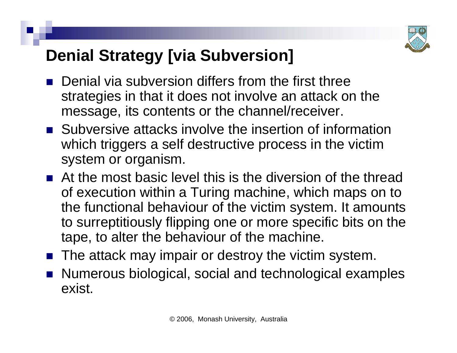

## **Denial Strategy [via Subversion]**

- $\mathbb{R}^3$  Denial via subversion differs from the first three strategies in that it does not involve an attack on the message, its contents or the channel/receiver.
- **Subversive attacks involve the insertion of information** which triggers a self destructive process in the victim system or organism.
- **At the most basic level this is the diversion of the thread** of execution within a Turing machine, which maps on to the functional behaviour of the victim system. It amounts to surreptitiously flipping one or more specific bits on the tape, to alter the behaviour of the machine.
- $\mathbb{R}^3$ The attack may impair or destroy the victim system.
- Numerous biological, social and technological examples exist.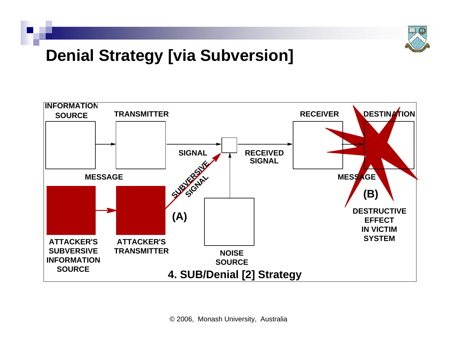

#### **Denial Strategy [via Subversion]**

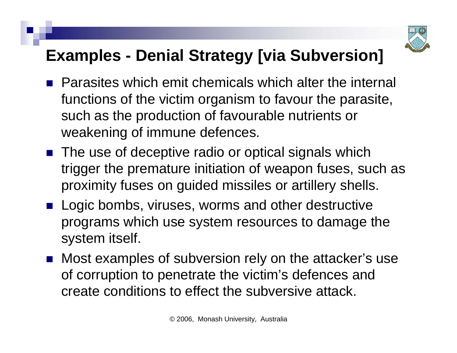

#### **Examples - Denial Strategy [via Subversion]**

- **Parasites which emit chemicals which alter the internal** functions of the victim organism to favour the parasite, such as the production of favourable nutrients or weakening of immune defences.
- The use of deceptive radio or optical signals which trigger the premature initiation of weapon fuses, such as proximity fuses on guided missiles or artillery shells.
- **Logic bombs, viruses, worms and other destructive** programs which use system resources to damage the system itself.
- Most examples of subversion rely on the attacker's use of corruption to penetrate the victim's defences and create conditions to effect the subversive attack.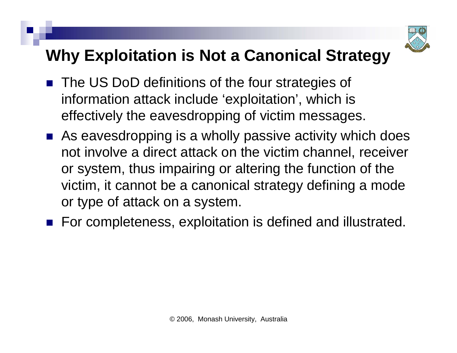

## **Why Exploitation is Not a Canonical Strategy**

- The US DoD definitions of the four strategies of information attack include 'exploitation', which is effectively the eavesdropping of victim messages.
- As eavesdropping is a wholly passive activity which does not involve a direct attack on the victim channel, receiver or system, thus impairing or altering the function of the victim, it cannot be a canonical strategy defining a mode or type of attack on a system.
- For completeness, exploitation is defined and illustrated.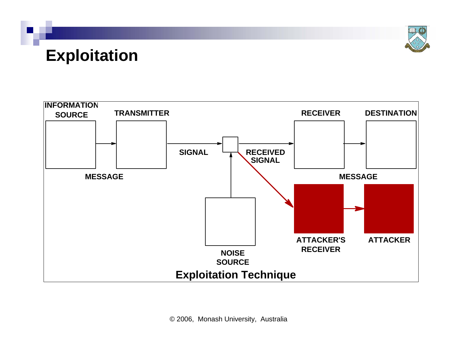**Exploitation**



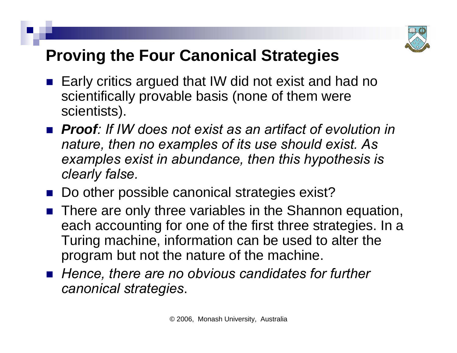

## **Proving the Four Canonical Strategies**

- $\mathbb{R}^3$  Early critics argued that IW did not exist and had no scientifically provable basis (none of them were scientists).
- Proof: If IW does not exist as an artifact of evolution in *nature, then no examples of its use should exist. As examples exist in abundance, then this hypothesis is clearly false.*
- Do other possible canonical strategies exist?
- **There are only three variables in the Shannon equation,** each accounting for one of the first three strategies. In a Turing machine, information can be used to alter the program but not the nature of the machine.
- Hence, there are no obvious candidates for further *canonical strategies*.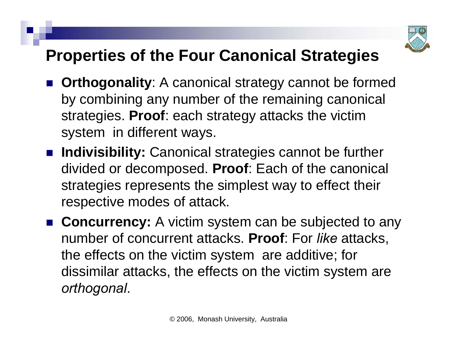

#### **Properties of the Four Canonical Strategies**

- $\mathbb{R}^3$  **Orthogonality**: A canonical strategy cannot be formed by combining any number of the remaining canonical strategies. **Proof**: each strategy attacks the victim system in different ways.
- **Indivisibility:** Canonical strategies cannot be further divided or decomposed. **Proof**: Each of the canonical strategies represents the simplest way to effect their respective modes of attack.
- **Concurrency:** A victim system can be subjected to any number of concurrent attacks. **Proof**: For *like* attacks, the effects on the victim system are additive; for dissimilar attacks, the effects on the victim system are *orthogonal*.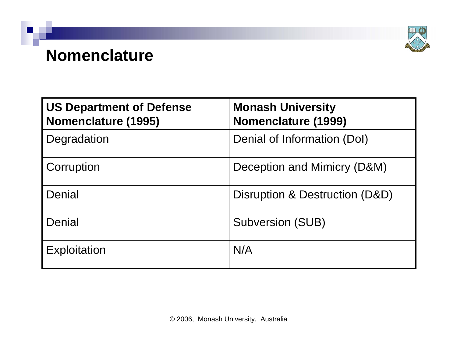

#### **Nomenclature**

| <b>US Department of Defense</b><br>Nomenclature (1995) | <b>Monash University</b><br>Nomenclature (1999) |
|--------------------------------------------------------|-------------------------------------------------|
| Degradation                                            | Denial of Information (DoI)                     |
| Corruption                                             | Deception and Mimicry (D&M)                     |
| Denial                                                 | Disruption & Destruction (D&D)                  |
| Denial                                                 | <b>Subversion (SUB)</b>                         |
| <b>Exploitation</b>                                    | N/A                                             |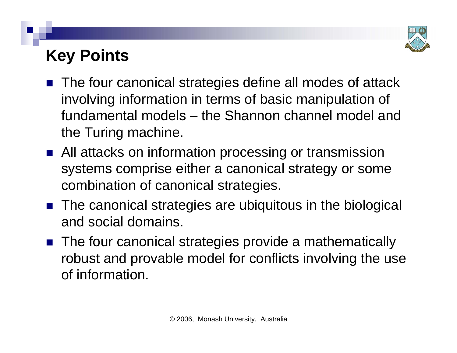

#### **Key Points**

- The four canonical strategies define all modes of attack involving information in terms of basic manipulation of fundamental models – the Shannon channel model and the Turing machine.
- All attacks on information processing or transmission systems comprise either a canonical strategy or some combination of canonical strategies.
- The canonical strategies are ubiquitous in the biological and social domains.
- The four canonical strategies provide a mathematically robust and provable model for conflicts involving the use of information.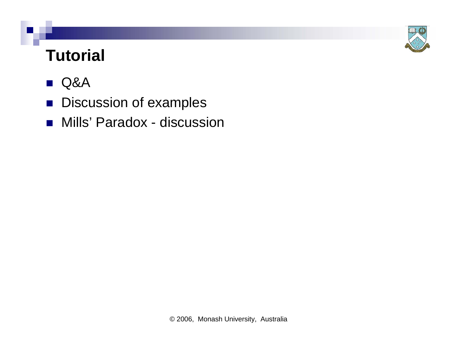

## **Tutorial**

#### $\mathcal{L}_{\mathcal{A}}$ Q&A

- **Discussion of examples**
- Mills' Paradox discussion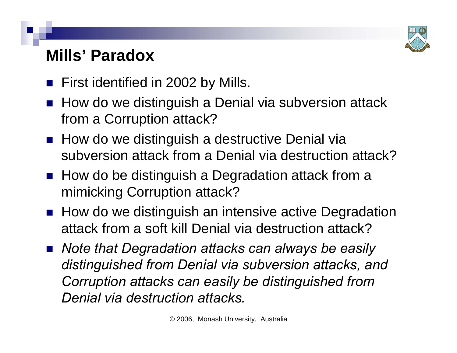

#### **Mills' Paradox**

- **First identified in 2002 by Mills.**
- How do we distinguish a Denial via subversion attack from a Corruption attack?
- $\blacksquare$  How do we distinguish a destructive Denial via subversion attack from a Denial via destruction attack?
- How do be distinguish a Degradation attack from a mimicking Corruption attack?
- How do we distinguish an intensive active Degradation attack from a soft kill Denial via destruction attack?
- *Note that Degradation attacks can always be easily distinguished from Denial via subversion attacks, and Corruption attacks can easily be distinguished from Denial via destruction attacks.*